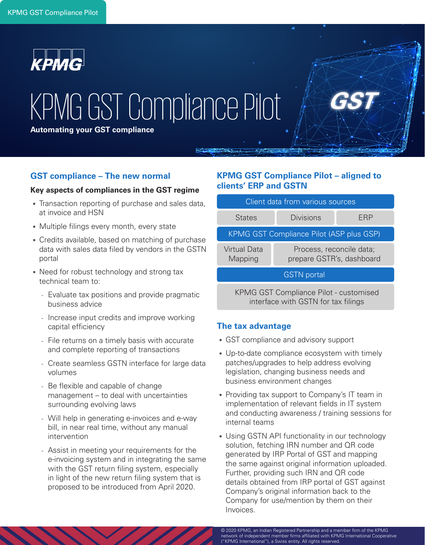

# KPMG GST Compliance Pilot

**Automating your GST compliance**

## **GST compliance – The new normal**

#### **Key aspects of compliances in the GST regime**

- Transaction reporting of purchase and sales data, at invoice and HSN
- Multiple filings every month, every state
- Credits available, based on matching of purchase data with sales data filed by vendors in the GSTN portal
- Need for robust technology and strong tax technical team to:
	- Evaluate tax positions and provide pragmatic business advice
	- Increase input credits and improve working capital efficiency
	- File returns on a timely basis with accurate and complete reporting of transactions
	- Create seamless GSTN interface for large data volumes
	- Be flexible and capable of change management – to deal with uncertainties surrounding evolving laws
	- Will help in generating e-invoices and e-way bill, in near real time, without any manual intervention
	- Assist in meeting your requirements for the e-invoicing system and in integrating the same with the GST return filing system, especially in light of the new return filing system that is proposed to be introduced from April 2020.

# **KPMG GST Compliance Pilot – aligned to clients' ERP and GSTN**

| Client data from various sources         |                                                       |     |  |
|------------------------------------------|-------------------------------------------------------|-----|--|
| <b>States</b>                            | Divisions                                             | FRP |  |
| KPMG GST Compliance Pilot (ASP plus GSP) |                                                       |     |  |
| Virtual Data<br>Mapping                  | Process, reconcile data;<br>prepare GSTR's, dashboard |     |  |
| <b>GSTN</b> portal                       |                                                       |     |  |

KPMG GST Compliance Pilot - customised interface with GSTN for tax filings

## **The tax advantage**

- GST compliance and advisory support
- Up-to-date compliance ecosystem with timely patches/upgrades to help address evolving legislation, changing business needs and business environment changes
- Providing tax support to Company's IT team in implementation of relevant fields in IT system and conducting awareness / training sessions for internal teams
- Using GSTN API functionality in our technology solution, fetching IRN number and QR code generated by IRP Portal of GST and mapping the same against original information uploaded. Further, providing such IRN and QR code details obtained from IRP portal of GST against Company's original information back to the Company for use/mention by them on their Invoices.

© 2020 KPMG, an Indian Registered Partnership and a member firm of the KPMG network of independent member firms affiliated with KPMG International Cooperative ("KPMG International"), a Swiss entity. All rights reserved.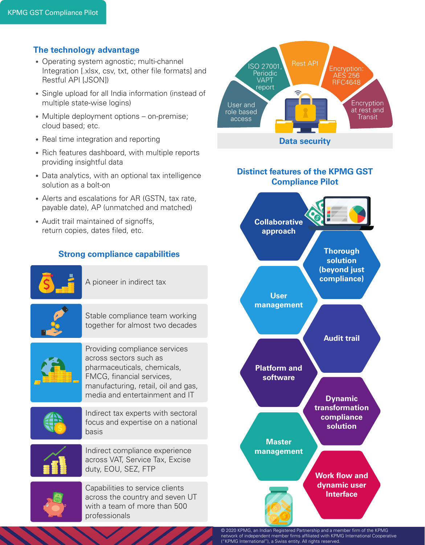# **The technology advantage**

- Operating system agnostic; multi-channel Integration [.xlsx, csv, txt, other file formats] and Restful API [JSON])
- Single upload for all India information (instead of multiple state-wise logins)
- Multiple deployment options on-premise; cloud based; etc.
- Real time integration and reporting
- Rich features dashboard, with multiple reports providing insightful data
- Data analytics, with an optional tax intelligence solution as a bolt-on
- Alerts and escalations for AR (GSTN, tax rate, payable date), AP (unmatched and matched)
- Audit trail maintained of signoffs, return copies, dates filed, etc.

# **Strong compliance capabilities**



A pioneer in indirect tax



Stable compliance team working together for almost two decades



Providing compliance services across sectors such as pharmaceuticals, chemicals, FMCG, financial services, manufacturing, retail, oil and gas, media and entertainment and IT



Indirect tax experts with sectoral focus and expertise on a national basis



Indirect compliance experience across VAT, Service Tax, Excise duty, EOU, SEZ, FTP

Capabilities to service clients across the country and seven UT with a team of more than 500 professionals



**software**

**Dynamic transformation compliance solution**

**Master management**

> **Work flow and dynamic user Interface**

© 2020 KPMG, an Indian Registered Partnership and a member firm of the KPMG network of independent member firms affiliated with KPMG International Cooperative ("KPMG International"), a Swiss entity. All rights reserved.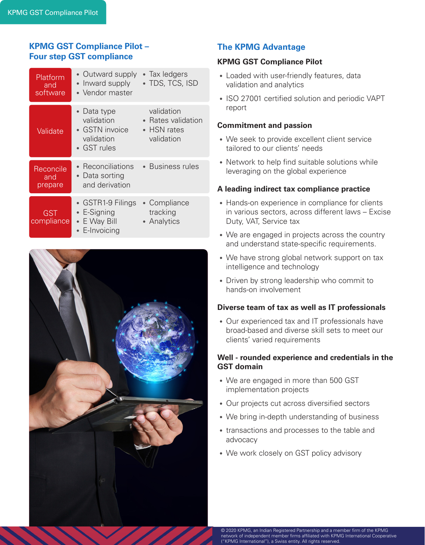# **KPMG GST Compliance Pilot – Four step GST compliance**

| Platform<br>and<br>software | • Outward supply<br>• Inward supply<br>• Vendor master                           | • Tax ledgers<br>• TDS, TCS, ISD                                      |
|-----------------------------|----------------------------------------------------------------------------------|-----------------------------------------------------------------------|
| Validate                    | • Data type<br>validation<br>$\bullet$ GSTN invoice<br>validation<br>• GST rules | validation<br>• Rates validation<br>$\bullet$ HSN rates<br>validation |
| Reconcile<br>and<br>prepare | • Reconciliations<br>• Data sorting<br>and derivation                            | • Business rules                                                      |
| GST<br>compliance           | • GSTR1-9 Filings<br>• E-Signing<br>• E Way Bill<br>• E-Invoicing                | • Compliance<br>tracking<br>• Analytics                               |



# **The KPMG Advantage**

# **KPMG GST Compliance Pilot**

- Loaded with user-friendly features, data validation and analytics
- ISO 27001 certified solution and periodic VAPT report

# **Commitment and passion**

- We seek to provide excellent client service tailored to our clients' needs
- Network to help find suitable solutions while leveraging on the global experience

# **A leading indirect tax compliance practice**

- Hands-on experience in compliance for clients in various sectors, across different laws – Excise Duty, VAT, Service tax
- We are engaged in projects across the country and understand state-specific requirements.
- We have strong global network support on tax intelligence and technology
- Driven by strong leadership who commit to hands-on involvement

## **Diverse team of tax as well as IT professionals**

• Our experienced tax and IT professionals have broad-based and diverse skill sets to meet our clients' varied requirements

# **Well - rounded experience and credentials in the GST domain**

- We are engaged in more than 500 GST implementation projects
- Our projects cut across diversified sectors
- We bring in-depth understanding of business
- transactions and processes to the table and advocacy
- We work closely on GST policy advisory

© 2020 KPMG, an Indian Registered Partnership and a member firm of the KPMG network of independent member firms affiliated with KPMG International Cooperative ("KPMG International"), a Swiss entity. All rights reserved.